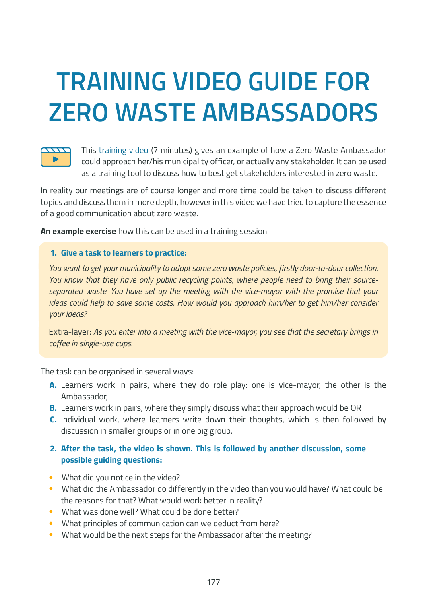## **TRAINING VIDEO GUIDE FOR ZERO WASTE AMBASSADORS**



This [training video](https://youtu.be/GbDA_pgdW8g) (7 minutes) gives an example of how a Zero Waste Ambassador could approach her/his municipality officer, or actually any stakeholder. It can be used as a training tool to discuss how to best get stakeholders interested in zero waste.

In reality our meetings are of course longer and more time could be taken to discuss different topics and discuss them in more depth, however in this video we have tried to capture the essence of a good communication about zero waste.

**An example exercise** how this can be used in a training session.

## **1. Give a task to learners to practice:**

*You want to get your municipality to adopt some zero waste policies, firstly door-to-door collection. You know that they have only public recycling points, where people need to bring their sourceseparated waste. You have set up the meeting with the vice-mayor with the promise that your ideas could help to save some costs. How would you approach him/her to get him/her consider your ideas?*

Extra-layer: *As you enter into a meeting with the vice-mayor, you see that the secretary brings in coffee in single-use cups.*

The task can be organised in several ways:

- **A.** Learners work in pairs, where they do role play: one is vice-mayor, the other is the Ambassador,
- **B.** Learners work in pairs, where they simply discuss what their approach would be OR
- **C.** Individual work, where learners write down their thoughts, which is then followed by discussion in smaller groups or in one big group.

## **2. After the task, the video is shown. This is followed by another discussion, some possible guiding questions:**

- What did you notice in the video?
- What did the Ambassador do differently in the video than you would have? What could be the reasons for that? What would work better in reality?
- What was done well? What could be done better?
- What principles of communication can we deduct from here?
- What would be the next steps for the Ambassador after the meeting?